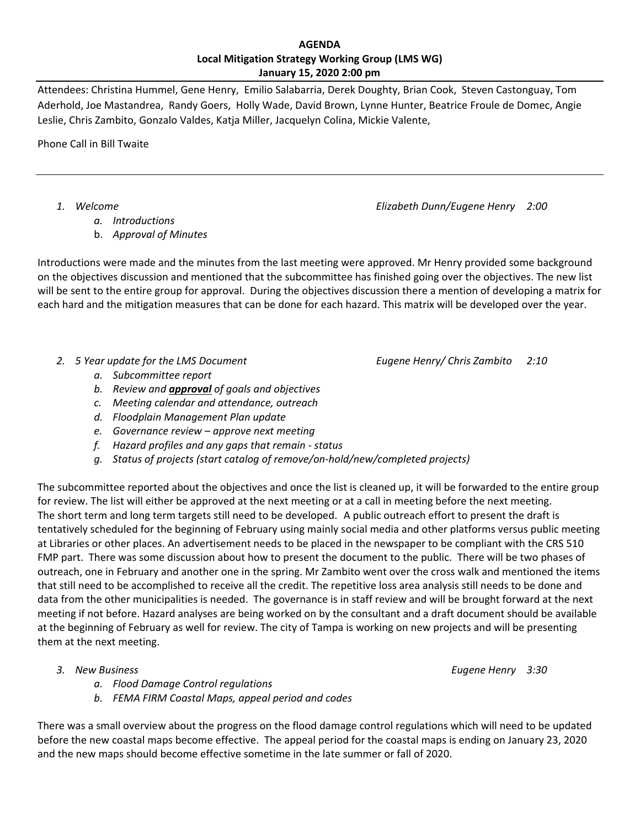## **Local Mitigation Strategy Working Group (LMS WG) January 15, 2020 2:00 pm AGENDA**

 Attendees: Christina Hummel, Gene Henry, Emilio Salabarria, Derek Doughty, Brian Cook, Steven Castonguay, Tom Aderhold, Joe Mastandrea, Randy Goers, Holly Wade, David Brown, Lynne Hunter, Beatrice Froule de Domec, Angie Leslie, Chris Zambito, Gonzalo Valdes, Katja Miller, Jacquelyn Colina, Mickie Valente,

Phone Call in Bill Twaite

 *1. Welcome Elizabeth Dunn/Eugene Henry 2:00*

*a. Introductions*

 b. *Approval of Minutes*

 Introductions were made and the minutes from the last meeting were approved. Mr Henry provided some background on the objectives discussion and mentioned that the subcommittee has finished going over the objectives. The new list will be sent to the entire group for approval. During the objectives discussion there a mention of developing a matrix for each hard and the mitigation measures that can be done for each hazard. This matrix will be developed over the year.

- *2. 5 Year update for the LMS Document Eugene Henry/ Chris Zambito 2:10*
	- *a. Subcommittee report*
	- *b. Review and approval of goals and objectives*
	- *c. Meeting calendar and attendance, outreach*
	- *d. Floodplain Management Plan update*
	- *e. Governance review – approve next meeting*
	- *f. Hazard profiles and any gaps that remain ‐ status*
	- *g. Status of projects (start catalog of remove/on‐hold/new/completed projects)*

 The subcommittee reported about the objectives and once the list is cleaned up, it will be forwarded to the entire group for review. The list will either be approved at the next meeting or at a call in meeting before the next meeting. The short term and long term targets still need to be developed. A public outreach effort to present the draft is tentatively scheduled for the beginning of February using mainly social media and other platforms versus public meeting at Libraries or other places. An advertisement needs to be placed in the newspaper to be compliant with the CRS 510 FMP part. There was some discussion about how to present the document to the public. There will be two phases of outreach, one in February and another one in the spring. Mr Zambito went over the cross walk and mentioned the items that still need to be accomplished to receive all the credit. The repetitive loss area analysis still needs to be done and data from the other municipalities is needed. The governance is in staff review and will be brought forward at the next meeting if not before. Hazard analyses are being worked on by the consultant and a draft document should be available at the beginning of February as well for review. The city of Tampa is working on new projects and will be presenting them at the next meeting.

 *3. New Business Eugene Henry 3:30*

- *a. Flood Damage Control regulations*
- *b. FEMA FIRM Coastal Maps, appeal period and codes*

 There was a small overview about the progress on the flood damage control regulations which will need to be updated before the new coastal maps become effective. The appeal period for the coastal maps is ending on January 23, 2020 and the new maps should become effective sometime in the late summer or fall of 2020.